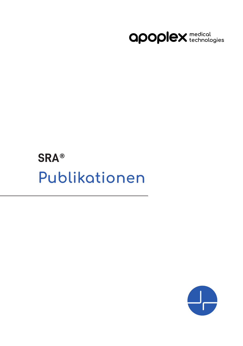

# **SRA® Publikationen**

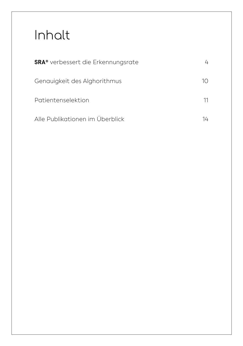# Inhalt

| <b>SRA</b> <sup>®</sup> verbessert die Erkennungsrate | 4  |
|-------------------------------------------------------|----|
| Genauigkeit des Alghorithmus                          | 10 |
| Patientenselektion                                    | 11 |
| Alle Publikationen im Überblick                       | 14 |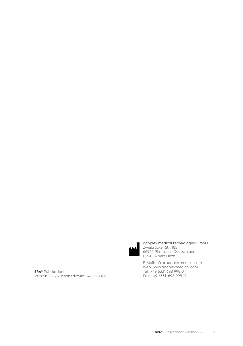

apoplex medical technologies GmbH Zweibrücker Str. 185 66954 Pirmasens Deutschland PRRC: Albert Hirtz

E-Mail: info@apoplexmedical.com Web: www.apoplexmedical.com Tel.: +49 6331 698 998 0 Fax: +49 6331 698 998 19

**SRA®** Publikationen Version 2.3 / Ausgabedatum: 24-02-2022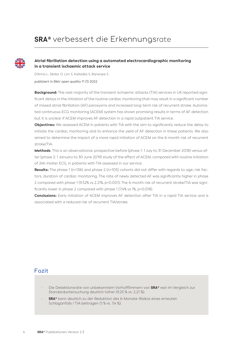# **SRA®** verbessert die Erkennungsrate



#### **Atrial fibrillation detection using a automated electrocardiographic monitoring in a transient ischaemic attack service**

D'Anna L, Sikdar O, Lim S, Kalladka S, Banerjee S publiziert in BMJ open quality 11 (1) 2022

**Background:** The vast majority of the transient ischaemic attacks (TIA) services in UK reported significant delays in the initiation of the routine cardiac monitoring that may result in a significant number of missed atrial fibrillation (AF) paroxysms and increased long-term risk of recurrent stroke. Automated continuous ECG monitoring (ACEM) system has shown promising results in terms of AF detection but it is unclear if ACEM improves AF detection in a rapid outpatient TIA service.

**Objectives:** We assessed ACEM in patients with TIA with the aim to significantly reduce the delay to initiate the cardiac monitoring and to enhance the yield of AF detection in these patients. We also aimed to determine the impact of a more rapid initiation of ACEM on the 6-month risk of recurrent stroke/TIA.

**Methods**: This is an observational, prospective before (phase 1: 1 July to 31 December 2018) versus after (phase 2: 1 January to 30 June 2019) study of the effect of ACEM, compared with routine initiation of 24h-Holter ECG, in patients with TIA assessed in our service.

**Results:** The phase 1 (n=136) and phase 2 (n=105) cohorts did not differ with regards to age, risk factors, duration of cardiac monitoring. The rate of newly detected AF was significantly higher in phase 2 compared with phase 1 (9.52% vs 2.21%, p<0.001). The 6-month risk of recurrent stroke/TIA was significantly lower in phase 2 compared with phase 1 (7.4% vs 1%, p=0.018).

**Conclusions:** Early initiation of ACEM improves AF detection after TIA in a rapid TIA service and is associated with a reduced risk of recurrent TIA/stroke.

- Die Detektionsrate von unbekanntem Vorhofflimmern von **SRA®** war im Vergleich zur Standarduntersuchung deutlich höher (9,25 % vs. 2,21 %).
- **SRA®** kann deutlich zu der Reduktion des 6-Monate-Risikos eines erneuten Schlaganfalls / TIA beitragen (1 % vs. 7,4 %).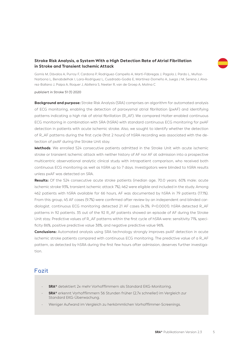#### **Stroke Risk Analysis, a System With a High Detection Rate of Atrial Fibrillation in Stroke and Transient Ischemic Attack**

Gomis M, Dávalos A, Purroy F, Cardona P, Rodriguez-Campello A, Martí-Fábregas J, Pagola J, Pardo L, Muñoz-Narbona L, Benabdelhak I, Lara-Rodríguez L, Cuadrado-Godia E, Martínez-Domeño A, Juega J M, Serena J, Alvarez-Ballano J, Paipa A, Roquer J, Abilleira S, Neeter R, van de Groep A, Molina C

publiziert in Stroke 51 (1) 2020

**Background and purpose:** Stroke Risk Analysis (SRA) comprises an algorithm for automated analysis of ECG monitoring, enabling the detection of paroxysmal atrial fibrillation (pxAF) and identifying patterns indicating a high risk of atrial fibrillation (R\_AF). We compared Holter-enabled continuous ECG monitoring in combination with SRA (hSRA) with standard continuous ECG monitoring for pxAF detection in patients with acute ischemic stroke. Also, we sought to identify whether the detection of R\_AF patterns during the first cycle (first 2 hours) of hSRA recording was associated with the detection of pxAF during the Stroke Unit stay.

**Methods**: We enrolled 524 consecutive patients admitted in the Stroke Unit with acute ischemic stroke or transient ischemic attack with neither history of AF nor AF at admission into a prospective multicentric observational analytic clinical study with intrapatient comparison, who received both continuous ECG monitoring as well as hSRA up to 7 days. Investigators were blinded to hSRA results unless pxAF was detected on SRA.

From this group, 45 AF cases (9.7%) were confirmed after review by an independent and blinded car-<br>dialogist, continuous ECC monitoring detected 21 AF cases (4.3%; Dc0,0001), bSDA detected D. AF Results: Of the 524 consecutive acute stroke patients (median age, 70.0 years; 60% male; acute ischemic stroke 93%, transient ischemic attack 7%), 462 were eligible and included in the study. Among 462 patients with hSRA available for 66 hours, AF was documented by hSRA in 79 patients (17.1%). diologist. continuous ECG monitoring detected 21 AF cases (4.3%; P<0.0001). hSRA detected R\_AF patterns in 92 patients. 35 out of the 92 R\_AF patients showed an episode of AF during the Stroke Unit stay. Predictive values of R\_AF patterns within the first cycle of hSRA were: sensitivity 71%, specificity 86%, positive predictive value 38%, and negative predictive value 96%.

**Conclusions:** Automated analysis using SRA technology strongly improves pxAF detection in acute ischemic stroke patients compared with continuous ECG monitoring. The predictive value of a R\_AF pattern, as detected by hSRA during the first few hours after admission, deserves further investigation.

- **SRA®** detektiert 2x mehr Vorhofflimmern als Standard EKG-Monitoring.
- **SRA®** erkennt Vorhofflimmern 56 Stunden früher (2,7x schneller) im Vergleich zur Standard EKG-Überwachung.
- Weniger Aufwand im Vergleich zu herkömmlichen Vorhofflimmer-Screenings.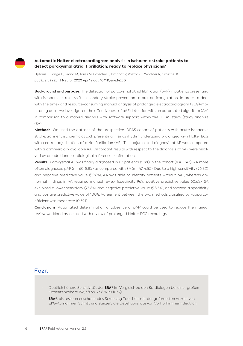

#### **Automatic Holter electrocardiogram analysis in ischaemic stroke patients to detect paroxysmal atrial fibrillation: ready to replace physicians?**

Uphaus T, Lange B, Grond M, Jauss M, Gröschel S, Kirchhof P, Rostock T, Wachter R, Gröschel K publiziert in Eur J Neurol. 2020 Apr 12 doi: 10.1111/ene.14250

**Background and purpose:** The detection of paroxysmal atrial fibrillation (pAF) in patients presenting with ischaemic stroke shifts secondary stroke prevention to oral anticoagulation. In order to deal with the time- and resource-consuming manual analysis of prolonged electrocardiogram (ECG)-monitoring data, we investigated the effectiveness of pAF detection with an automated algorithm (AA) in comparison to a manual analysis with software support within the IDEAS study [study analysis (SA)].

**Methods:** We used the dataset of the prospective IDEAS cohort of patients with acute ischaemic stroke/transient ischaemic attack presenting in sinus rhythm undergoing prolonged 72-h Holter ECG with central adjudication of atrial fibrillation (AF). This adjudicated diagnosis of AF was compared with a commercially available AA. Discordant results with respect to the diagnosis of pAF were resolved by an additional cardiological reference confirmation.

**Results:** Paroxysmal AF was finally diagnosed in 62 patients (5.9%) in the cohort (n = 1043). AA more often diagnosed pAF (n = 60, 5.8%) as compared with SA (n = 47, 4.5%). Due to a high sensitivity (96.8%) and negative predictive value (99.8%), AA was able to identify patients without pAF, whereas abnormal findings in AA required manual review (specificity 96%; positive predictive value 60.6%). SA exhibited a lower sensitivity (75.8%) and negative predictive value (98.5%), and showed a specificity and positive predictive value of 100%. Agreement between the two methods classified by kappa coefficient was moderate (0.591).

**Conclusions:** Automated determination of , absence of pAF' could be used to reduce the manual review workload associated with review of prolonged Holter ECG recordings.

- Deutlich höhere Sensitivität der **SRA®** im Vergleich zu den Kardiologen bei einer großen Patientenkohore (96,7 % vs. 73,8 %, n=1034).
- **SRA®**, als ressourcenschonendes Screening-Tool, hält mit der geforderten Anzahl von EKG-Aufnahmen Schritt und steigert die Detektionsrate von Vorhofflimmern deutlich.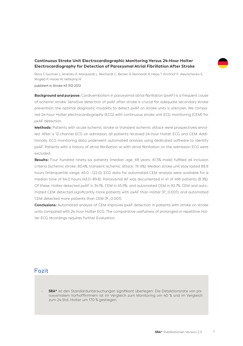#### **Continuous Stroke Unit Electrocardiographic Monitoring Versus 24-Hour Holter Electrocardiography for Detection of Paroxysmal Atrial Fibrillation After Stroke**

Rizos T, Guntner J, Jenetzky E, Marquardt L, Reichardt C, Becker R, Reinhardt R, Hepp T, Kirchhof P, Aleynichenko E, Ringleb P, Hacke W, Veltkamp R publiziert in Stroke 43 (10) 2012

**Background and purpose:** Cardioembolism in paroxysmal atrial fibrillation (pxAF) is a frequent cause of ischemic stroke. Sensitive detection of pxAF after stroke is crucial for adequate secondary stroke prevention; the optimal diagnostic modality to detect pxAF on stroke units is unknown. We compared 24-hour Holter electrocardiography (ECG) with continuous stroke unit ECG monitoring (CEM) for pxAF detection.

**Methods:** Patients with acute ischemic stroke or transient ischemic attack were prospectively enrolled. After a 12-channel ECG on admission, all patients received 24-hour Holter ECG and CEM. Additionally, ECG monitoring data underwent automated analysis using dedicated software to identify pxAF. Patients with a history of atrial fibrillation or with atrial fibrillation on the admission ECG were excluded.

**Results:** Four hundred ninety-six patients (median age, 69 years; 61.5% male) fulfilled all inclusion criteria (ischemic stroke: 80.4%; transient ischemic attack: 19. 6%). Median stroke unit stay lasted 88.8 hours (interquartile range, 65.0 –122.0). ECG data for automated CEM analysis were available for a median time of 64.0 hours (43.0–89.8). Paroxysmal AF was documented in 41 of 496 patients (8.3%). Of these, Holter detected pxAF in 34.1%; CEM in 65.9%; and automated CEM in 92.7%. CEM and automated CEM detected significantly more patients with pxAF than Holter (P\_0.001), and automated CEM detected more patients than CEM (P\_0.001).

**Conclusions:** Automated analysis of CEM improves pxAF detection in patients with stroke on stroke units compared with 24-hour Holter ECG. The comparative usefulness of prolonged or repetitive Holter ECG recordings requires further Evaluation.

### **Fazit**

- **SRA®** ist den Standarduntersuchungen signifikant überlegen: Die Detektionsrate von paroxysmalem Vorhofflimmern ist im Vergleich zum Monitoring um 40 % und im Vergleich zum 24-Std.-Holter um 170 % gestiegen.

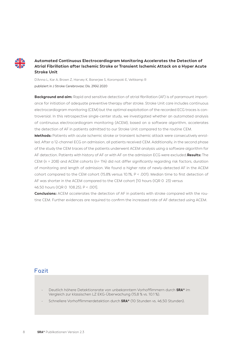

#### **Automated Continuous Electrocardiogram Monitoring Accelerates the Detection of Atrial Fibrillation after Ischemic Stroke or Transient Ischemic Attack on a Hyper Acute Stroke Unit**

D'Anna L, Kar A, Brown Z, Harvey K, Banerjee S, Korompoki E, Veltkamp R publiziert in J Stroke Cerebrovasc Dis. 29(4) 2020

**Background and aim:** Rapid and sensitive detection of atrial fibrillation (AF) is of paramount importance for initiation of adequate preventive therapy after stroke. Stroke Unit care includes continuous electrocardiogram monitoring (CEM) but the optimal exploitation of the recorded ECG traces is controversial. In this retrospective single-center study, we investigated whether an automated analysis of continuous electrocardiogram monitoring (ACEM), based on a software algorithm, accelerates the detection of AF in patients admitted to our Stroke Unit compared to the routine CEM.

**Methods:** Patients with acute ischemic stroke or transient ischemic attack were consecutively enrolled. After a 12-channel ECG on admission, all patients received CEM. Additionally, in the second phase of the study the CEM traces of the patients underwent ACEM analysis using a software algorithm for AF detection. Patients with history of AF or with AF on the admission ECG were excluded.**Results:** The CEM (n = 208) and ACEM cohorts (n= 114) did not differ significantly regarding risk factors, duration of monitoring and length of admission. We found a higher rate of newly-detected AF in the ACEM cohort compared to the CEM cohort (15.8% versus 10.1%, P < .001). Median time to first detection of AF was shorter in the ACEM compared to the CEM cohort [10 hours (IQR 0 23) versus 46.50 hours (IQR 0 108.25), P < .001].

**Conclusions:** ACEM accelerates the detection of AF in patients with stroke compared with the routine CEM. Further evidences are required to confirm the increased rate of AF detected using ACEM.

- Deutlich höhere Detektionsrate von unbekanntem Vorhofflimmern durch **SRA®** im Vergleich zur klassischen LZ EKG-Überwachung (15,8 % vs. 10.1 %).
- Schnellere Vorhofflimmerdetektion durch **SRA®** (10 Stunden vs. 46,50 Stunden).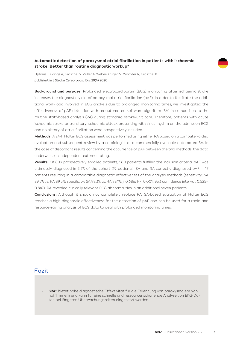#### **Automatic detection of paroxysmal atrial fibrillation in patients with ischaemic stroke: Better than routine diagnostic workup?**

Uphaus T, Grings A, Gröschel S, Müller A, Weber-Krüger M, Wachter R, Gröschel K publiziert in J Stroke Cerebrovasc Dis. 29(4) 2020

**Background and purpose:** Prolonged electrocardiogram (ECG) monitoring after ischaemic stroke increases the diagnostic yield of paroxysmal atrial fibrillation (pAF). In order to facilitate the additional work-load involved in ECG analysis due to prolonged monitoring times, we investigated the effectiveness of pAF detection with an automated software algorithm (SA) in comparison to the routine staff-based analysis (RA) during standard stroke-unit care. Therefore, patients with acute ischaemic stroke or transitory ischaemic attack presenting with sinus rhythm on the admission ECG and no history of atrial fibrillation were prospectively included.

**Methods:** A 24-h Holter ECG assessment was performed using either RA based on a computer-aided evaluation and subsequent review by a cardiologist or a commercially available automated SA. In the case of discordant results concerning the occurrence of pAF between the two methods, the data underwent an independent external rating.

**Results:** Of 809 prospectively enrolled patients, 580 patients fulfilled the inclusion criteria. pAF was ultimately diagnosed in 3.3% of the cohort (19 patients). SA and RA correctly diagnosed pAF in 17 patients resulting in a comparable diagnostic effectiveness of the analysis methods (sensitivity: SA 89.5% vs. RA 89.5%; specificity: SA 99.3% vs. RA 99.1%; j, 0.686; P < 0.001; 95% confidence interval, 0.525– 0.847). RA revealed clinically relevant ECG abnormalities in an additional seven patients.

**3** reaches a high diagnostic effectiveness for the detection of pAF and can be used for a rapid and **Conclusions:** Although it should not completely replace RA, SA-based evaluation of Holter ECG resource-saving analysis of ECG data to deal with prolonged monitoring times.

## **Fazit**

- **SRA®** bietet hohe diagnostische Effektivität für die Erkennung von paroxysmalem Vorhofflimmern und kann für eine schnelle und ressourcenschonende Analyse von EKG-Daten bei längeren Überwachungszeiten eingesetzt werden.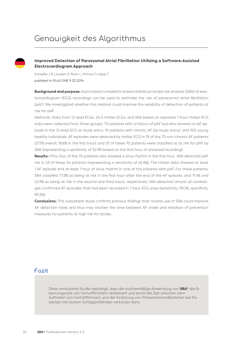# Genauigkeit des Algorithmus

#### **Improved Detection of Paroxysmal Atrial Fibrillation Utilizing a Software-Assisted Electrocardiogram Approach**

Schaefer J R, Leussler D, Rosin L, Pittrow D, Hepp T publiziert in PLoS ONE 9 (2) 2014

**Background and purpose:** Automated complexity-based statistical stroke risk analysis (SRA) of electrocardiogram (ECG) recordings can be used to estimate the risk of paroxysmal atrial fibrillation (pAF). We investigated whether this method could improve the reliability of detection of patients at risk for pAF.

Methods: Data from 12-lead ECGs, 24-h Holter ECGs, and SRA based on separate 1-hour Holter ECG snips were collected from three groups: 70 patients with a history of pAF but who showed no AF episode in the 12-lead ECG at study entry; 19 patients with chronic AF (at study entry); and 100 young healthy individuals. AF episodes were detected by Holter ECG in 19 of the 70 non-chronic AF patients (27.1% overall, 18.6% in the first hour), and 37 of these 70 patients were classified as at risk for pAF by SRA (representing a sensitivity of 52.9% based on the first hour of analysed recording).

**Results:** Fifty-four of the 70 patients also showed a sinus rhythm in the first hour. SRA detected pAF risk in 23 of these 54 patients (representing a sensitivity of 42.6%). The Holter data showed at least 1 AF episode and at least 1 hour of sinus rhythm in nine of the patients with pAF. For these patients, SRA classified 77.8% as being at risk in the first hour after the end of the AF episode, and 71.4% and 42.9% as being at risk in the second and third hours, respectively. SRA detected almost all cardiologist-confirmed AF episodes that had been recorded in 1-hour ECG snips (sensitivity, 99.2%; specificity, 99.2%).

**Conclusions:** This outpatient study confirms previous findings that routine use of SRA could improve AF detection rates and thus may shorten the time between AF onset and initiation of prevention measures for patients at high risk for stroke.

# **Fazit**

- Diese ambulante Studie bestätigt, dass die routinemäßige Anwendung von **SRA®** die Erkennungsrate von Vorhofflimmern verbessert und somit die Zeit zwischen dem Auftreten von Vorhofflimmern und der Einleitung von Präventionsmaßnahmen bei Patienten mit hohem Schlaganfallrisiko verkürzen kann.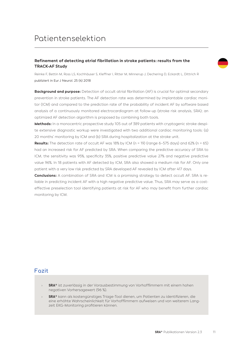# Patientenselektion

#### **Refinement of detecting atrial fibrillation in stroke patients: results from the TRACK-AF Study**

Reinke F, Bettin M, Ross LS, Kochhäuser S, Kleffner I, Ritter M, Minnerup J, Dechering D, Eckardt L, Dittrich R publiziert in Eur J Neurol. 25 (4) 2018

**Background and purpose:** Detection of occult atrial fibrillation (AF) is crucial for optimal secondary prevention in stroke patients. The AF detection rate was determined by implantable cardiac monitor (ICM) and compared to the prediction rate of the probability of incident AF by software based analysis of a continuously monitored electrocardiogram at follow-up (stroke risk analysis, SRA); an optimized AF detection algorithm is proposed by combining both tools.

**Methods:** In a monocentric prospective study 105 out of 389 patients with cryptogenic stroke despite extensive diagnostic workup were investigated with two additional cardiac monitoring tools: (a) 20 months' monitoring by ICM and (b) SRA during hospitalization at the stroke unit.

**Results:** The detection rate of occult AF was 18% by ICM (n = 19) (range 6–575 days) and 62% (n = 65) had an increased risk for AF predicted by SRA. When comparing the predictive accuracy of SRA to ICM, the sensitivity was 95%, specificity 35%, positive predictive value 27% and negative predictive value 96%. In 18 patients with AF detected by ICM, SRA also showed a medium risk for AF. Only one patient with a very low risk predicted by SRA developed AF revealed by ICM after 417 days.

**Conclusions:** A combination of SRA and ICM is a promising strategy to detect occult AF. SRA is reliable in predicting incident AF with a high negative predictive value. Thus, SRA may serve as a costeffective preselection tool identifying patients at risk for AF who may benefit from further cardiac monitoring by ICM.

- › **SRA®** ist zuverlässig in der Vorausbestimmung von Vorhofflimmern mit einem hohen negativen Vorhersagewert (96 %).
- › **SRA®** kann als kostengünstiges Triage-Tool dienen, um Patienten zu identifizieren, die eine erhöhte Wahrscheinlichkeit für Vorhofflimmern aufweisen und von weiterem Langzeit EKG-Monitoring profitieren können.

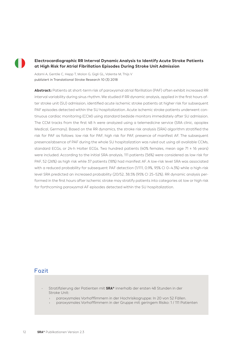#### **Electrocardiographic RR Interval Dynamic Analysis to Identify Acute Stroke Patients at High Risk for Atrial Fibrillation Episodes During Stroke Unit Admission**

Adami A, Gentile C, Hepp T, Molon G, Gigli GL, Valente M, Thijs V publiziert in Translational Stroke Research 10 (3) 2018

**Abstract:** Patients at short-term risk of paroxysmal atrial fibrillation (PAF) often exhibit increased RR interval variability during sinus rhythm. We studied if RR dynamic analysis, applied in the first hours after stroke unit (SU) admission, identified acute ischemic stroke patients at higher risk for subsequent PAF episodes detected within the SU hospitalization. Acute ischemic stroke patients underwent continuous cardiac monitoring (CCM) using standard bedside monitors immediately after SU admission. The CCM tracks from the first 48 h were analyzed using a telemedicine service (SRA clinic, apoplex Medical, Germany). Based on the RR dynamics, the stroke risk analysis (SRA) algorithm stratified the risk for PAF as follows: low risk for PAF, high risk for PAF, presence of manifest AF. The subsequent presence/absence of PAF during the whole SU hospitalization was ruled out using all available CCMs, standard ECGs, or 24-h Holter ECGs. Two hundred patients (40% females, mean age 71  $\pm$  16 years) were included. According to the initial SRA analysis, 111 patients (56%) were considered as low risk for PAF, 52 (26%) as high risk while 37 patients (18%) had manifest AF. A low-risk level SRA was associated with a reduced probability for subsequent PAF detection (1/111, 0.9%, 95% CI 0-4.3%) while a high-risk level SRA predicted an increased probability (20/52, 38.5% (95% CI 25–52%). RR dynamic analysis performed in the first hours after ischemic stroke may stratify patients into categories at low or high risk for forthcoming paroxysmal AF episodes detected within the SU hospitalization.

- Stratifizierung der Patienten mit **SRA®** innerhalb der ersten 48 Stunden in der Stroke Unit:
	- › paroxysmales Vorhofflimmern in der Hochrisikogruppe: In 20 von 52 Fällen.
	- › paroxysmales Vorhofflimmern in der Gruppe mit geringem Risiko: 1 / 111 Patienten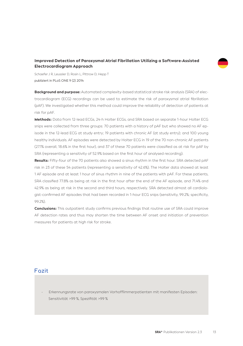#### **Improved Detection of Paroxysmal Atrial Fibrillation Utilizing a Software-Assisted Electrocardiogram Approach**

Schaefer J R, Leussler D, Rosin L, Pittrow D, Hepp T publiziert in PLoS ONE 9 (2) 2014

**Background and purpose:** Automated complexity-based statistical stroke risk analysis (SRA) of electrocardiogram (ECG) recordings can be used to estimate the risk of paroxysmal atrial fibrillation (pAF). We investigated whether this method could improve the reliability of detection of patients at risk for pAF.

**Methods:** Data from 12-lead ECGs, 24-h Holter ECGs, and SRA based on separate 1-hour Holter ECG snips were collected from three groups: 70 patients with a history of pAF but who showed no AF episode in the 12-lead ECG at study entry; 19 patients with chronic AF (at study entry); and 100 young healthy individuals. AF episodes were detected by Holter ECG in 19 of the 70 non-chronic AF patients (27.1% overall, 18.6% in the first hour), and 37 of these 70 patients were classified as at risk for pAF by SRA (representing a sensitivity of 52.9% based on the first hour of analysed recording).

**Results:** Fifty-four of the 70 patients also showed a sinus rhythm in the first hour. SRA detected pAF risk in 23 of these 54 patients (representing a sensitivity of 42.6%). The Holter data showed at least 1 AF episode and at least 1 hour of sinus rhythm in nine of the patients with pAF. For these patients, SRA classified 77.8% as being at risk in the first hour after the end of the AF episode, and 71.4% and 42.9% as being at risk in the second and third hours, respectively. SRA detected almost all cardiologist-confirmed AF episodes that had been recorded in 1-hour ECG snips (sensitivity, 99.2%; specificity, 99.2%).

**Conclusions:** This outpatient study confirms previous findings that routine use of SRA could improve AF detection rates and thus may shorten the time between AF onset and initiation of prevention measures for patients at high risk for stroke.

### **Fazit**

- Erkennungsrate von paroxysmalen Vorhofflimmerpatienten mit manifesten Episoden: Sensitivität >99 %, Spezifität >99 %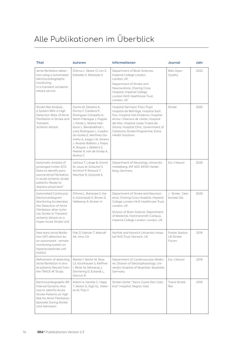# Alle Publikationen im Überblick

| <b>Titel</b>                                                                                                                                                                                                     | <b>Autoren</b>                                                                                                                                                                                                                                                                                                                                  | <b>Informationen</b>                                                                                                                                                                                                                                                                                     | <b>Journal</b>                              | Jahr |
|------------------------------------------------------------------------------------------------------------------------------------------------------------------------------------------------------------------|-------------------------------------------------------------------------------------------------------------------------------------------------------------------------------------------------------------------------------------------------------------------------------------------------------------------------------------------------|----------------------------------------------------------------------------------------------------------------------------------------------------------------------------------------------------------------------------------------------------------------------------------------------------------|---------------------------------------------|------|
| Atrial fibrillation detec-<br>tion using a automated<br>electrocardiographic<br>monitoring<br>in a transient ischaemic<br>attack service                                                                         | D'Anna L, Sikdar O, Lim S,<br>Kalladka S, Banerjee S                                                                                                                                                                                                                                                                                            | Department of Brain Sciences,<br>Imperial College London,<br>London, UK<br>Department of Stroke and                                                                                                                                                                                                      | <b>BMJ Open</b><br>Quality                  | 2022 |
|                                                                                                                                                                                                                  |                                                                                                                                                                                                                                                                                                                                                 | Neuroscience, Charing Cross<br>Hospital, Imperial College<br>London NHS Healthcare Trust.<br>London, UK                                                                                                                                                                                                  |                                             |      |
| Stroke Risk Analysis,<br>a System With a High<br>Detection Rate of Atrial<br>Fibrillation in Stroke and<br>Transient<br>Ischemic Attack                                                                          | Gomis M, Dávalos A,<br>Purroy F. Cardona P.<br>Rodriguez-Campello A,<br>Martí-Fábregas J, Pagola<br>J. Pardo L. Muñoz-Nar-<br>bona L, Benabdelhak I,<br>Lara-Rodríguez L, Cuadra-<br>do-Godia E, Martínez-Do-<br>meño A, Juega J M, Serena<br>J, Alvarez-Ballano J, Paipa<br>A, Roquer J, Abilleira S,<br>Neeter R, van de Groep A,<br>Molina C | Hospital Germans Trias i Pujol,<br>Hospital de BellVitge, Hospital Sant<br>Pau, Hospital Vall d'Hebron, Hospital<br>Arnau i Vilanova de Lleida, Hospital<br>del Mar, Hospital Josep Trueta de<br>Girona, Hospital Clinic, Government of<br>Catalonia, Stroke Programme, Evina<br><b>Health Solutions</b> | Stroke                                      | 2020 |
| Automatic Analysis of<br>prolonged Holter-ECG<br>Data to identify paro-<br>xysmal Atrial Fibrillation<br>in acute ischemic stroke<br>patients: Ready to<br>displace physicians?                                  | Uphaus T, Lange B, Grond<br>M. Jauss M. Gröschel S.<br>Kirchhof P. Rostock T.<br>Wachter R, Gröschel K,                                                                                                                                                                                                                                         | Department of Neurology, University<br>Heidelberg, INF 400, 69120 Heidel-<br>berg, Germany                                                                                                                                                                                                               | Eur J Neurol                                | 2020 |
| <b>Automated Continuous</b><br>Electrocardiogram<br>Monitoring Accelerates<br>the Detection of Atrial<br>Fibrillation after Ische-<br>mic Stroke or Transient<br>Ischemic Attack on a<br>Hyper Acute Stroke Unit | D'Anna L, Banerjee S, Kar<br>A, Korompoki E, Brown Z,<br>Veltkamp R. Kirsten H                                                                                                                                                                                                                                                                  | Department of Stroke and Neurosci-<br>ence, Charing Cross Hospital, Imperial<br>College London NHS Healthcare Trust,<br>London, UK                                                                                                                                                                       | J Stroke Cere-<br>brovasc Dis.              | 2020 |
|                                                                                                                                                                                                                  |                                                                                                                                                                                                                                                                                                                                                 | Division of Brain Science, Department<br>of Medicine, Hammersmith Campus,<br>Imperial College London, London, UK                                                                                                                                                                                         |                                             |      |
| New early atrial fibrilla-<br>tion (AF) detection by<br>an automated remote<br>monitoring system on<br>hyperacutestroke unit<br>(HASU)                                                                           | Pak D, Salman T, Metcalf<br>AK. Hmu CA                                                                                                                                                                                                                                                                                                          | Norfolk and Norwich University Hospi-<br>tal NHS Trust, Norwich, UK                                                                                                                                                                                                                                      | Poster Session<br><b>UK Stroke</b><br>Forum | 2018 |
| Refinement of detecting<br>atrial fibrillation in stro-<br>ke patients Results from<br>the TRACK AF Study                                                                                                        | Reinke F. Bettin M. Ross<br>LS, Kochhäuser S, Kleffner<br>I, Ritter M, Minnerup J,<br>Dechering D, Eckardt L,<br>Dittrich R                                                                                                                                                                                                                     | Department of Cardiovascular Medici-<br>ne, Division of Electrophysiology, Uni-<br>versity Hospital of Muenster, Muenster,<br>Germany.                                                                                                                                                                   | Fur J Neurol                                | 2018 |
| Electrocardiographic RR<br>Interval Dynamic Ana-<br>lysis to Identify Acute<br>Stroke Patients at High<br>Risk for Atrial Fibrillation<br>Episodes During Stroke<br>Unit Admission                               | Adami A, Gentile C, Hepp<br>T, Molon G, Gigli GL, Valen-<br>te M. Thijs V                                                                                                                                                                                                                                                                       | Stroke Center "Sacro Cuore Don Cala-<br>bria" Hospital, Negrar, Italy                                                                                                                                                                                                                                    | Transl Stroke<br><b>Res</b>                 | 2018 |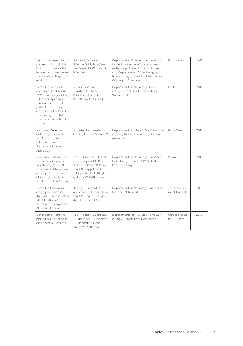| Automatic detection of<br>paroxysmal atrial fibril-<br>lation in patients with<br>ischaemic stroke: better<br>than routine diagnostic<br>workup?                                                                                                | Uphaus T, Grings A,<br>Gröschel S, Müller A, We-<br>ber-Krüger M, Wachter R,<br>Gröschel K                                                                               | Department of Neurology, Universi-<br>ty Medical Center of the Johannes<br>Gutenberg University Mainz, Mainz<br>and Department of Cardiology and<br>Pneumology, University of Göttingen,<br>Göttingen, Germany | Fur J Neurol                     | 2017 |
|-------------------------------------------------------------------------------------------------------------------------------------------------------------------------------------------------------------------------------------------------|--------------------------------------------------------------------------------------------------------------------------------------------------------------------------|----------------------------------------------------------------------------------------------------------------------------------------------------------------------------------------------------------------|----------------------------------|------|
| Extended automatic<br>analysis of continuous<br>ECG monitoring (aCEM)<br>substantially improves<br>the identification of<br>patients with newly<br>diagnosed atrial fibrilla-<br>tion during hospitaliza-<br>tion for acute ischemic<br>stroke. | García-Esperón C.<br>Zumstein D. Steiner M.<br>Vuilliomenet A, Betz T,<br>Nedeltchev K, Kahles T                                                                         | Department of Neurology & Car-<br>diology - Cantonal Hospital Aarau,<br>Switzerland                                                                                                                            | <b>ESOC</b>                      | 2015 |
| Improved Detection<br>of Paroxysmal Atrial<br>Fibrillation Utilizing<br>a Software-Assisted<br>Electrocardiogram<br>Approach                                                                                                                    | Schaefer J R, Leussler D,<br>Rosin L, Pittrow D, Hepp T,                                                                                                                 | Department of Internal Medicine, Car-<br>diology, Philipps-University, Marburg,<br>Germany,                                                                                                                    | PLoS One                         | 2014 |
| Continuous Stroke Unit<br>Electrocardiography<br>Monitoring Versus 24-<br>Hour Holter Electrocar-<br>diography for Detection<br>of Paroxysmal Atrial<br>Fibrillation after Stroke                                                               | Rizos T. Guntner J. Jenetz-<br>ky E, Marquardt L, Rei-<br>chardt C, Becker R, Rein-<br>hardt R, Hepp T, Kirchhof<br>P, Aleynichenko E, Ringleb<br>P, Hacke W, Veltkamp R | Department of Neurology, University<br>Heidelberg, INF 400, 69120 Heidel-<br>berg, Germany                                                                                                                     | Stroke                           | 2012 |
| <b>Extended Electrocar-</b><br>diographic Poincare<br>Analysis (EPA) for Better<br>Identification of Pa-<br>tients with Paroxysmal<br><b>Atrial Fibrillation</b>                                                                                | Duning T, Kirchhof P,<br>Wersching H, Hepp T, Rein-<br>hardt R, Heuer H, Ringel-<br>stein E B. Knecht S                                                                  | Department of Neurology, University<br>Hospital of Muenster                                                                                                                                                    | J Clinic Experi-<br>ment Cardiol | 2011 |
| Detection of Paroxys-<br>mal Atrial Fibrillation in<br>Acute Stroke Patients                                                                                                                                                                    | Rizos T. Rasch C. Jenetzky<br>E, Hametner C, Kathoefer<br>S, Reinhardt R, Hepp T,<br>Hacke W. Veltkamp R.                                                                | Departments of Neurology and Car-<br>diology, University of Heidelberg                                                                                                                                         | Cerebrovascu-<br>lar Diseases    | 2010 |